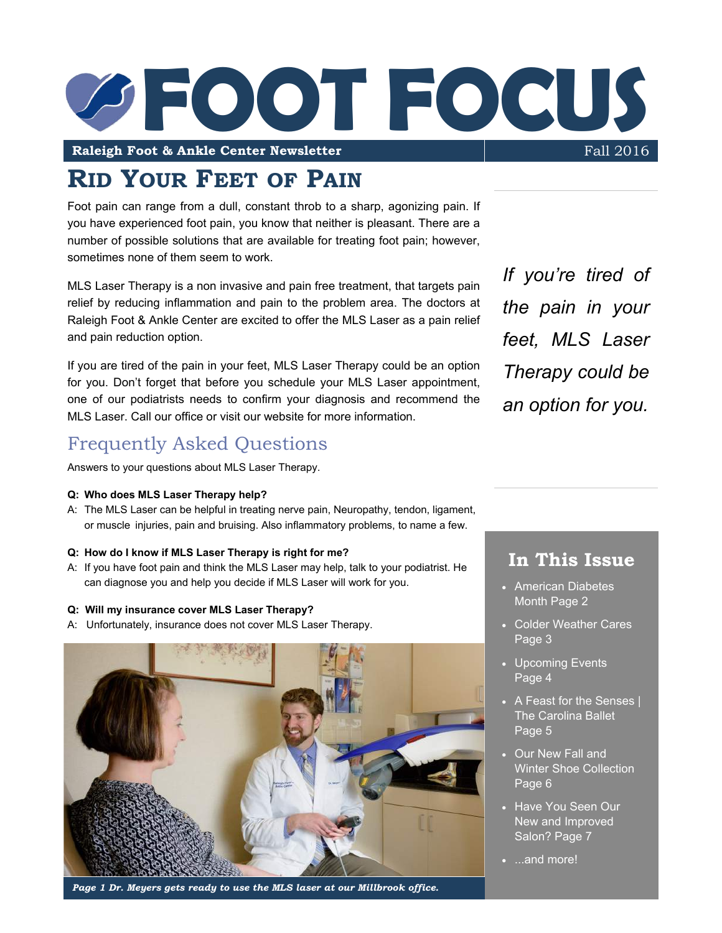

**RID YOUR FEET OF PAIN**

Foot pain can range from a dull, constant throb to a sharp, agonizing pain. If you have experienced foot pain, you know that neither is pleasant. There are a number of possible solutions that are available for treating foot pain; however, sometimes none of them seem to work.

MLS Laser Therapy is a non invasive and pain free treatment, that targets pain relief by reducing inflammation and pain to the problem area. The doctors at Raleigh Foot & Ankle Center are excited to offer the MLS Laser as a pain relief and pain reduction option.

If you are tired of the pain in your feet, MLS Laser Therapy could be an option for you. Don't forget that before you schedule your MLS Laser appointment, one of our podiatrists needs to confirm your diagnosis and recommend the MLS Laser. Call our office or visit our website for more information.

## Frequently Asked Questions

Answers to your questions about MLS Laser Therapy.

#### **Q: Who does MLS Laser Therapy help?**

A: The MLS Laser can be helpful in treating nerve pain, Neuropathy, tendon, ligament, or muscle injuries, pain and bruising. Also inflammatory problems, to name a few.

#### **Q: How do I know if MLS Laser Therapy is right for me?**

A: If you have foot pain and think the MLS Laser may help, talk to your podiatrist. He can diagnose you and help you decide if MLS Laser will work for you.

#### **Q: Will my insurance cover MLS Laser Therapy?**

A: Unfortunately, insurance does not cover MLS Laser Therapy.



*Page 1 Dr. Meyers gets ready to use the MLS laser at our Millbrook office.*

*If you're tired of the pain in your feet, MLS Laser Therapy could be an option for you.*

## **In This Issue**

- American Diabetes Month Page 2
- Colder Weather Cares Page 3
- Upcoming Events Page 4
- A Feast for the Senses | The Carolina Ballet Page 5
- Our New Fall and Winter Shoe Collection Page 6
- Have You Seen Our New and Improved Salon? Page 7
- ...and more!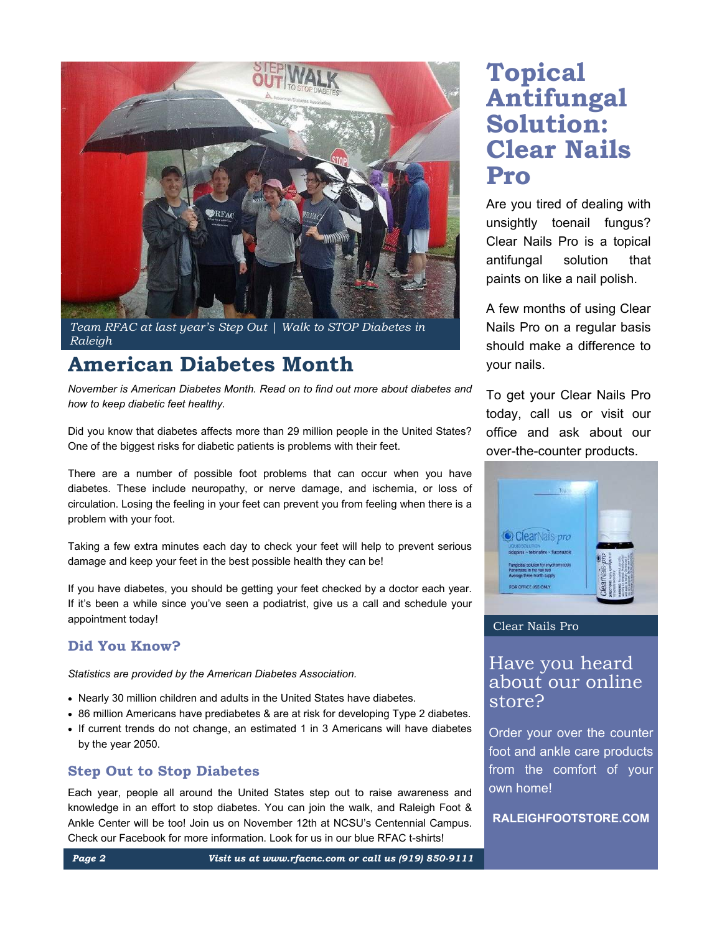

*Team RFAC at last year's Step Out | Walk to STOP Diabetes in Raleigh*

# **American Diabetes Month**

*November is American Diabetes Month. Read on to find out more about diabetes and how to keep diabetic feet healthy.*

Did you know that diabetes affects more than 29 million people in the United States? One of the biggest risks for diabetic patients is problems with their feet.

There are a number of possible foot problems that can occur when you have diabetes. These include neuropathy, or nerve damage, and ischemia, or loss of circulation. Losing the feeling in your feet can prevent you from feeling when there is a problem with your foot.

Taking a few extra minutes each day to check your feet will help to prevent serious damage and keep your feet in the best possible health they can be!

If you have diabetes, you should be getting your feet checked by a doctor each year. If it's been a while since you've seen a podiatrist, give us a call and schedule your appointment today!

#### **Did You Know?**

*Statistics are provided by the American Diabetes Association.*

- Nearly 30 million children and adults in the United States have diabetes.
- 86 million Americans have prediabetes & are at risk for developing Type 2 diabetes.
- If current trends do not change, an estimated 1 in 3 Americans will have diabetes by the year 2050.

#### **Step Out to Stop Diabetes**

Each year, people all around the United States step out to raise awareness and knowledge in an effort to stop diabetes. You can join the walk, and Raleigh Foot & Ankle Center will be too! Join us on November 12th at NCSU's Centennial Campus. Check our Facebook for more information. Look for us in our blue RFAC t-shirts!

# **Topical Antifungal Solution: Clear Nails Pro**

Are you tired of dealing with unsightly toenail fungus? Clear Nails Pro is a topical antifungal solution that paints on like a nail polish.

A few months of using Clear Nails Pro on a regular basis should make a difference to your nails.

To get your Clear Nails Pro today, call us or visit our office and ask about our over-the-counter products.



#### Clear Nails Pro

## Have you heard about our online store?

Order your over the counter foot and ankle care products from the comfort of your own home!

**RALEIGHFOOTSTORE.COM**

*Page 2 Visit us at www.rfacnc.com or call us (919) 850-9111*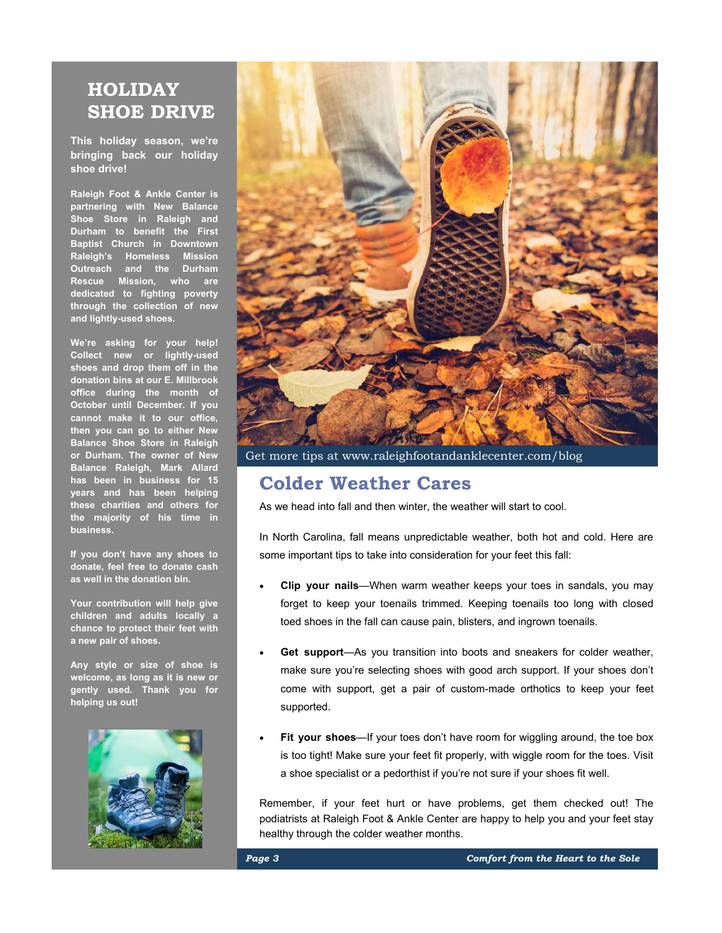## **HOLIDAY SHOE DRIVE**

**This holiday season, we're bringing back our holiday shoe drive!**

**Raleigh Foot & Ankle Center is partnering with New Balance Shoe Store in Raleigh and Durham to benefit the First Baptist Church in Downtown Raleigh's Homeless Mission Outreach and the Durham Rescue Mission, who are dedicated to fighting poverty through the collection of new and lightly-used shoes.**

**We're asking for your help! Collect new or lightly-used shoes and drop them off in the donation bins at our E. Millbrook office during the month of October until December. If you cannot make it to our office, then you can go to either New Balance Shoe Store in Raleigh or Durham. The owner of New Balance Raleigh, Mark Allard has been in business for 15 years and has been helping these charities and others for the majority of his time in business.** 

**If you don't have any shoes to donate, feel free to donate cash as well in the donation bin.**

**Your contribution will help give children and adults locally a chance to protect their feet with a new pair of shoes.**

**Any style or size of shoe is welcome, as long as it is new or gently used. Thank you for helping us out!**





Get more tips at www.raleighfootandanklecenter.com/blog

## **Colder Weather Cares**

As we head into fall and then winter, the weather will start to cool.

In North Carolina, fall means unpredictable weather, both hot and cold. Here are some important tips to take into consideration for your feet this fall:

- **Clip your nails**—When warm weather keeps your toes in sandals, you may forget to keep your toenails trimmed. Keeping toenails too long with closed toed shoes in the fall can cause pain, blisters, and ingrown toenails.
- **Get support**—As you transition into boots and sneakers for colder weather, make sure you're selecting shoes with good arch support. If your shoes don't come with support, get a pair of custom-made orthotics to keep your feet supported.
- **Fit your shoes**—If your toes don't have room for wiggling around, the toe box is too tight! Make sure your feet fit properly, with wiggle room for the toes. Visit a shoe specialist or a pedorthist if you're not sure if your shoes fit well.

Remember, if your feet hurt or have problems, get them checked out! The podiatrists at Raleigh Foot & Ankle Center are happy to help you and your feet stay healthy through the colder weather months.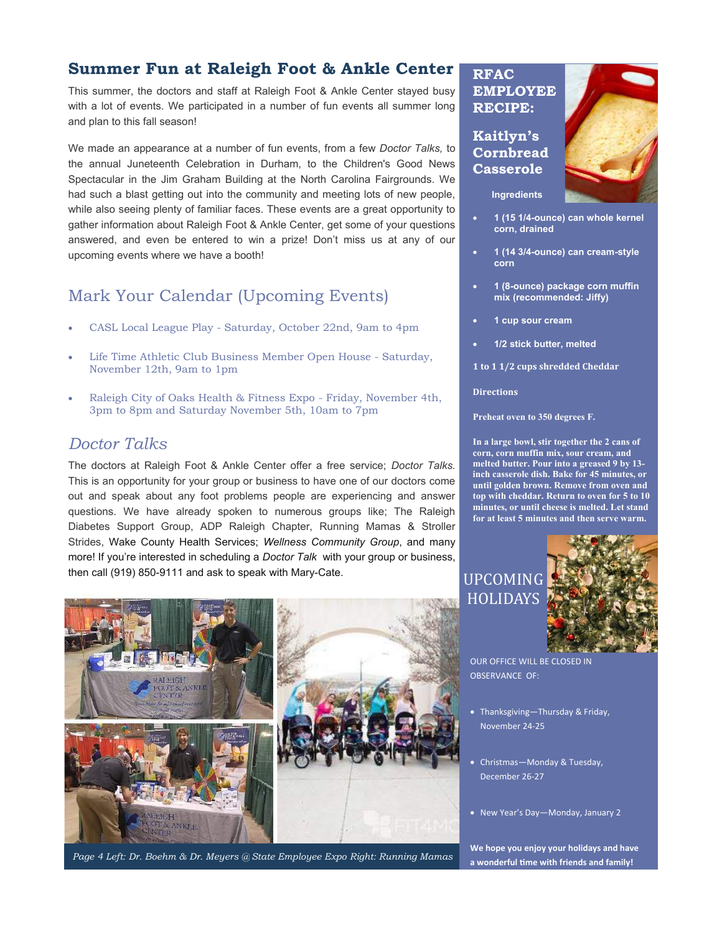### **Summer Fun at Raleigh Foot & Ankle Center**

This summer, the doctors and staff at Raleigh Foot & Ankle Center stayed busy with a lot of events. We participated in a number of fun events all summer long and plan to this fall season!

We made an appearance at a number of fun events, from a few *Doctor Talks,* to the annual Juneteenth Celebration in Durham, to the Children's Good News Spectacular in the Jim Graham Building at the North Carolina Fairgrounds. We had such a blast getting out into the community and meeting lots of new people, while also seeing plenty of familiar faces. These events are a great opportunity to gather information about Raleigh Foot & Ankle Center, get some of your questions answered, and even be entered to win a prize! Don't miss us at any of our upcoming events where we have a booth!

## Mark Your Calendar (Upcoming Events)

- CASL Local League Play Saturday, October 22nd, 9am to 4pm
- Life Time Athletic Club Business Member Open House Saturday, November 12th, 9am to 1pm
- Raleigh City of Oaks Health & Fitness Expo Friday, November 4th, 3pm to 8pm and Saturday November 5th, 10am to 7pm

### *Doctor Talks*

The doctors at Raleigh Foot & Ankle Center offer a free service; *Doctor Talks.*  This is an opportunity for your group or business to have one of our doctors come out and speak about any foot problems people are experiencing and answer questions. We have already spoken to numerous groups like; The Raleigh Diabetes Support Group, ADP Raleigh Chapter, Running Mamas & Stroller Strides, Wake County Health Services; *Wellness Community Group*, and many more! If you're interested in scheduling a *Doctor Talk* with your group or business, then call (919) 850-9111 and ask to speak with Mary-Cate.



**RFAC EMPLOYEE RECIPE:**

#### **Kaitlyn's Cornbread Casserole**



**Ingredients**

- **1 (15 1/4-ounce) can whole kernel corn, drained**
- **1 (14 3/4-ounce) can cream-style corn**
- **1 (8-ounce) package corn muffin mix (recommended: Jiffy)**
- **1 cup sour cream**
- **1/2 stick butter, melted**
- **1 to 1 1/2 cups shredded Cheddar**

#### **Directions**

**Preheat oven to 350 degrees F.**

**In a large bowl, stir together the 2 cans of corn, corn muffin mix, sour cream, and melted butter. Pour into a greased 9 by 13 inch casserole dish. Bake for 45 minutes, or until golden brown. Remove from oven and top with cheddar. Return to oven for 5 to 10 minutes, or until cheese is melted. Let stand for at least 5 minutes and then serve warm.**

# UPCOMING **HOLIDAYS**



OUR OFFICE WILL BE CLOSED IN OBSERVANCE OF:

- Thanksgiving—Thursday & Friday, November 24-25
- Christmas—Monday & Tuesday, December 26-27
- New Year's Day—Monday, January 2

**We hope you enjoy your holidays and have a wonderful time with friends and family!**

*Page 4 Left: Dr. Boehm & Dr. Meyers @ State Employee Expo Right: Running Mamas*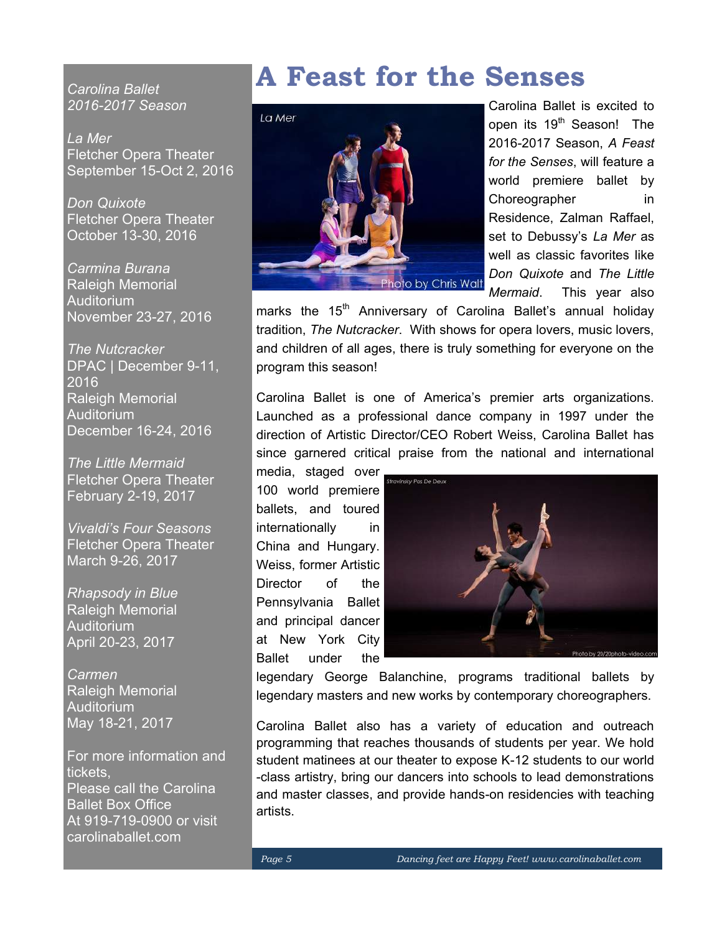*Carolina Ballet 2016-2017 Season*

*La Mer* Fletcher Opera Theater September 15-Oct 2, 2016

*Don Quixote* Fletcher Opera Theater October 13-30, 2016

*Carmina Burana* Raleigh Memorial Auditorium November 23-27, 2016

*The Nutcracker* DPAC | December 9-11, 2016 Raleigh Memorial **Auditorium** December 16-24, 2016

*The Little Mermaid* Fletcher Opera Theater February 2-19, 2017

*Vivaldi's Four Seasons* Fletcher Opera Theater March 9-26, 2017

*Rhapsody in Blue* Raleigh Memorial **Auditorium** April 20-23, 2017

*Carmen* Raleigh Memorial Auditorium May 18-21, 2017

For more information and tickets, Please call the Carolina Ballet Box Office At 919-719-0900 or visit carolinaballet.com

# **A Feast for the Senses**



Carolina Ballet is excited to open its 19<sup>th</sup> Season! The 2016-2017 Season, *A Feast for the Senses*, will feature a world premiere ballet by Choreographer in Residence, Zalman Raffael, set to Debussy's *La Mer* as well as classic favorites like *Don Quixote* and *The Little Mermaid*. This year also

marks the 15<sup>th</sup> Anniversary of Carolina Ballet's annual holiday tradition, *The Nutcracker*. With shows for opera lovers, music lovers, and children of all ages, there is truly something for everyone on the program this season!

Carolina Ballet is one of America's premier arts organizations. Launched as a professional dance company in 1997 under the direction of Artistic Director/CEO Robert Weiss, Carolina Ballet has since garnered critical praise from the national and international

media, staged over 100 world premiere ballets, and toured internationally in China and Hungary. Weiss, former Artistic Director of the Pennsylvania Ballet and principal dancer at New York City Ballet under the



legendary George Balanchine, programs traditional ballets by legendary masters and new works by contemporary choreographers.

Carolina Ballet also has a variety of education and outreach programming that reaches thousands of students per year. We hold student matinees at our theater to expose K-12 students to our world -class artistry, bring our dancers into schools to lead demonstrations and master classes, and provide hands-on residencies with teaching artists.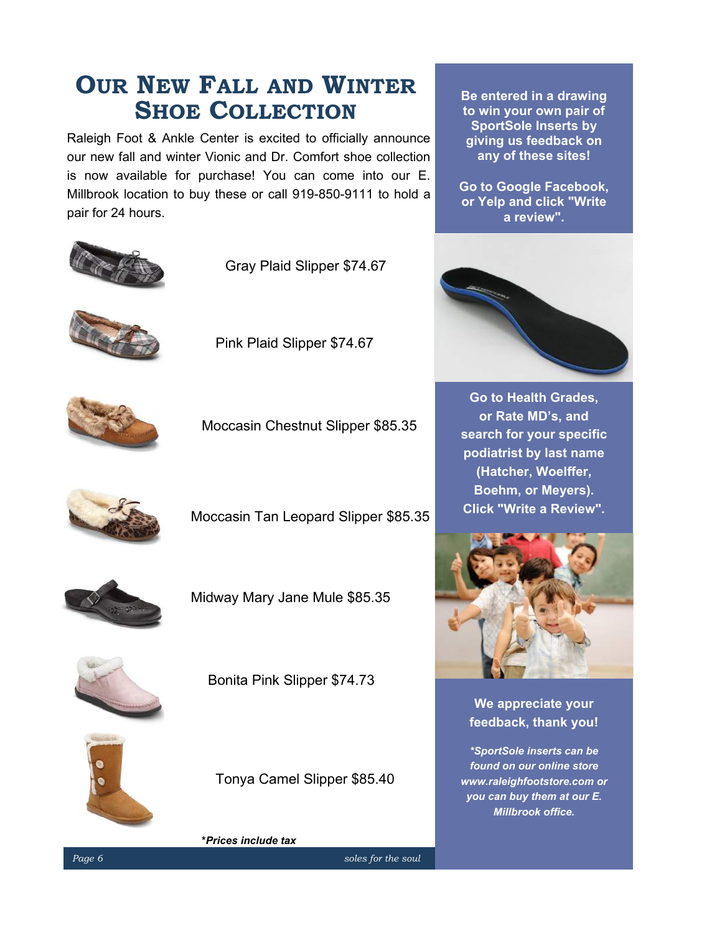# **OUR NEW FALL AND WINTER SHOE COLLECTION**

Raleigh Foot & Ankle Center is excited to officially announce our new fall and winter Vionic and Dr. Comfort shoe collection is now available for purchase! You can come into our E. Millbrook location to buy these or call 919-850-9111 to hold a pair for 24 hours.



Gray Plaid Slipper \$74.67



Pink Plaid Slipper \$74.67



Moccasin Chestnut Slipper \$85.35



Moccasin Tan Leopard Slipper \$85.35



Midway Mary Jane Mule \$85.35



Bonita Pink Slipper \$74.73



Tonya Camel Slipper \$85.40

**\****Prices include tax*

**Be entered in a drawing to win your own pair of SportSole Inserts by giving us feedback on any of these sites!** 

**Go to Google Facebook, or Yelp and click "Write a review".**



**Go to Health Grades, or Rate MD's, and search for your specific podiatrist by last name (Hatcher, Woelffer, Boehm, or Meyers). Click "Write a Review".**



**We appreciate your feedback, thank you!**

*\*SportSole inserts can be found on our online store www.raleighfootstore.com or you can buy them at our E. Millbrook office.*

*Page 6* soles for the soul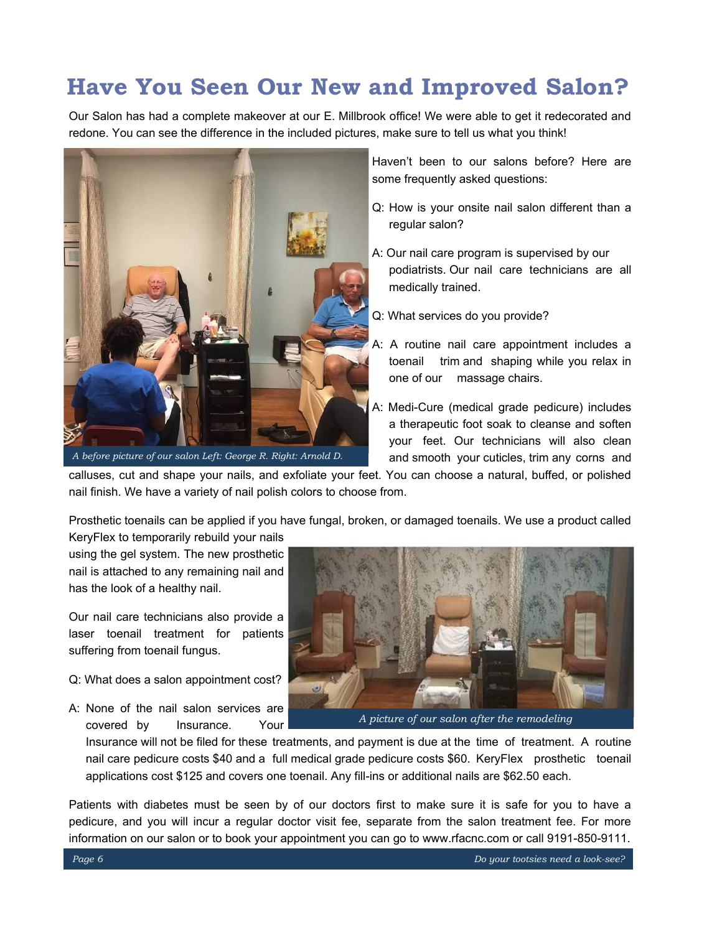# **Have You Seen Our New and Improved Salon?**

Our Salon has had a complete makeover at our E. Millbrook office! We were able to get it redecorated and redone. You can see the difference in the included pictures, make sure to tell us what you think!



*A before picture of our salon Left: George R. Right: Arnold D.*

Haven't been to our salons before? Here are some frequently asked questions:

- Q: How is your onsite nail salon different than a regular salon?
- A: Our nail care program is supervised by our podiatrists. Our nail care technicians are all medically trained.
- Q: What services do you provide?
- A: A routine nail care appointment includes a toenail trim and shaping while you relax in one of our massage chairs.
- A: Medi-Cure (medical grade pedicure) includes a therapeutic foot soak to cleanse and soften your feet. Our technicians will also clean and smooth your cuticles, trim any corns and

calluses, cut and shape your nails, and exfoliate your feet. You can choose a natural, buffed, or polished nail finish. We have a variety of nail polish colors to choose from.

Prosthetic toenails can be applied if you have fungal, broken, or damaged toenails. We use a product called KeryFlex to temporarily rebuild your nails

using the gel system. The new prosthetic nail is attached to any remaining nail and has the look of a healthy nail.

Our nail care technicians also provide a laser toenail treatment for patients suffering from toenail fungus.

- Q: What does a salon appointment cost?
- A: None of the nail salon services are covered by Insurance. Your



*A picture of our salon after the remodeling* 

Insurance will not be filed for these treatments, and payment is due at the time of treatment. A routine nail care pedicure costs \$40 and a full medical grade pedicure costs \$60. KeryFlex prosthetic toenail applications cost \$125 and covers one toenail. Any fill-ins or additional nails are \$62.50 each.

Patients with diabetes must be seen by of our doctors first to make sure it is safe for you to have a pedicure, and you will incur a regular doctor visit fee, separate from the salon treatment fee. For more information on our salon or to book your appointment you can go to www.rfacnc.com or call 9191-850-9111.